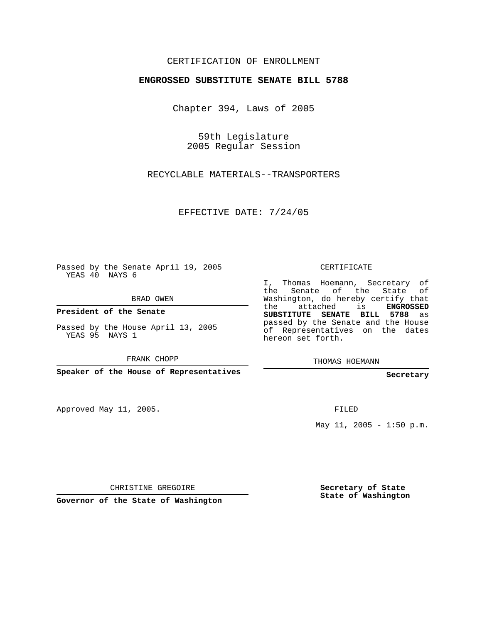## CERTIFICATION OF ENROLLMENT

## **ENGROSSED SUBSTITUTE SENATE BILL 5788**

Chapter 394, Laws of 2005

59th Legislature 2005 Regular Session

RECYCLABLE MATERIALS--TRANSPORTERS

EFFECTIVE DATE: 7/24/05

Passed by the Senate April 19, 2005 YEAS 40 NAYS 6

BRAD OWEN

**President of the Senate**

Passed by the House April 13, 2005 YEAS 95 NAYS 1

FRANK CHOPP

**Speaker of the House of Representatives**

Approved May 11, 2005.

CERTIFICATE

I, Thomas Hoemann, Secretary of the Senate of the State of Washington, do hereby certify that the attached is **ENGROSSED SUBSTITUTE SENATE BILL 5788** as passed by the Senate and the House of Representatives on the dates hereon set forth.

THOMAS HOEMANN

**Secretary**

FILED

May 11, 2005 - 1:50 p.m.

CHRISTINE GREGOIRE

**Governor of the State of Washington**

**Secretary of State State of Washington**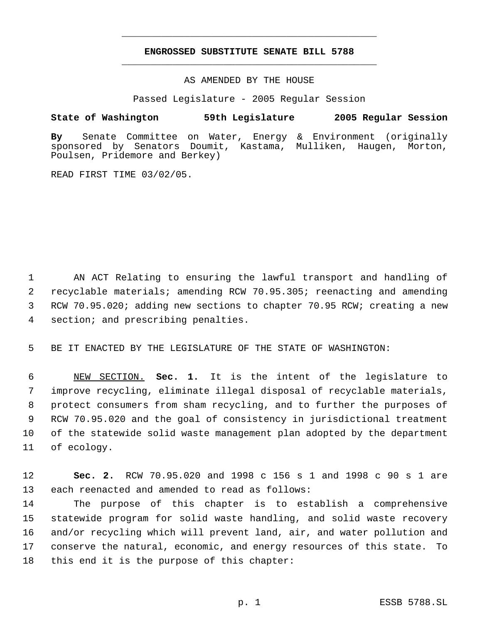## **ENGROSSED SUBSTITUTE SENATE BILL 5788** \_\_\_\_\_\_\_\_\_\_\_\_\_\_\_\_\_\_\_\_\_\_\_\_\_\_\_\_\_\_\_\_\_\_\_\_\_\_\_\_\_\_\_\_\_

\_\_\_\_\_\_\_\_\_\_\_\_\_\_\_\_\_\_\_\_\_\_\_\_\_\_\_\_\_\_\_\_\_\_\_\_\_\_\_\_\_\_\_\_\_

AS AMENDED BY THE HOUSE

Passed Legislature - 2005 Regular Session

## **State of Washington 59th Legislature 2005 Regular Session**

**By** Senate Committee on Water, Energy & Environment (originally sponsored by Senators Doumit, Kastama, Mulliken, Haugen, Morton, Poulsen, Pridemore and Berkey)

READ FIRST TIME 03/02/05.

 AN ACT Relating to ensuring the lawful transport and handling of recyclable materials; amending RCW 70.95.305; reenacting and amending RCW 70.95.020; adding new sections to chapter 70.95 RCW; creating a new section; and prescribing penalties.

BE IT ENACTED BY THE LEGISLATURE OF THE STATE OF WASHINGTON:

 NEW SECTION. **Sec. 1.** It is the intent of the legislature to improve recycling, eliminate illegal disposal of recyclable materials, protect consumers from sham recycling, and to further the purposes of RCW 70.95.020 and the goal of consistency in jurisdictional treatment of the statewide solid waste management plan adopted by the department of ecology.

 **Sec. 2.** RCW 70.95.020 and 1998 c 156 s 1 and 1998 c 90 s 1 are each reenacted and amended to read as follows:

 The purpose of this chapter is to establish a comprehensive statewide program for solid waste handling, and solid waste recovery and/or recycling which will prevent land, air, and water pollution and conserve the natural, economic, and energy resources of this state. To this end it is the purpose of this chapter: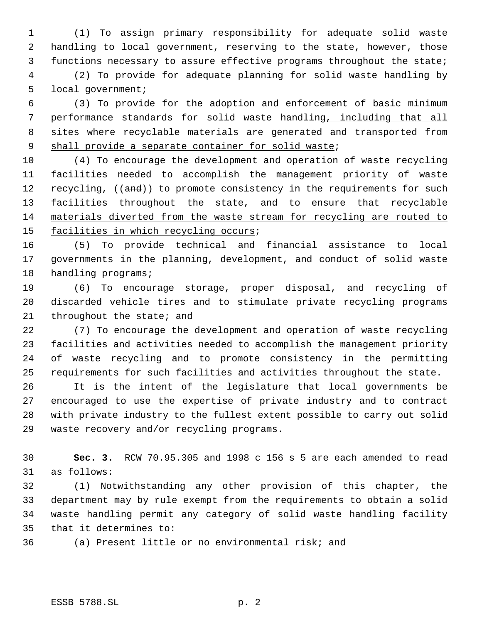(1) To assign primary responsibility for adequate solid waste handling to local government, reserving to the state, however, those functions necessary to assure effective programs throughout the state;

 (2) To provide for adequate planning for solid waste handling by local government;

 (3) To provide for the adoption and enforcement of basic minimum performance standards for solid waste handling, including that all sites where recyclable materials are generated and transported from 9 shall provide a separate container for solid waste;

 (4) To encourage the development and operation of waste recycling facilities needed to accomplish the management priority of waste 12 recycling, ((and)) to promote consistency in the requirements for such 13 facilities throughout the state, and to ensure that recyclable materials diverted from the waste stream for recycling are routed to 15 facilities in which recycling occurs;

 (5) To provide technical and financial assistance to local governments in the planning, development, and conduct of solid waste 18 handling programs;

 (6) To encourage storage, proper disposal, and recycling of discarded vehicle tires and to stimulate private recycling programs throughout the state; and

 (7) To encourage the development and operation of waste recycling facilities and activities needed to accomplish the management priority of waste recycling and to promote consistency in the permitting requirements for such facilities and activities throughout the state.

 It is the intent of the legislature that local governments be encouraged to use the expertise of private industry and to contract with private industry to the fullest extent possible to carry out solid waste recovery and/or recycling programs.

 **Sec. 3.** RCW 70.95.305 and 1998 c 156 s 5 are each amended to read as follows:

 (1) Notwithstanding any other provision of this chapter, the department may by rule exempt from the requirements to obtain a solid waste handling permit any category of solid waste handling facility that it determines to:

(a) Present little or no environmental risk; and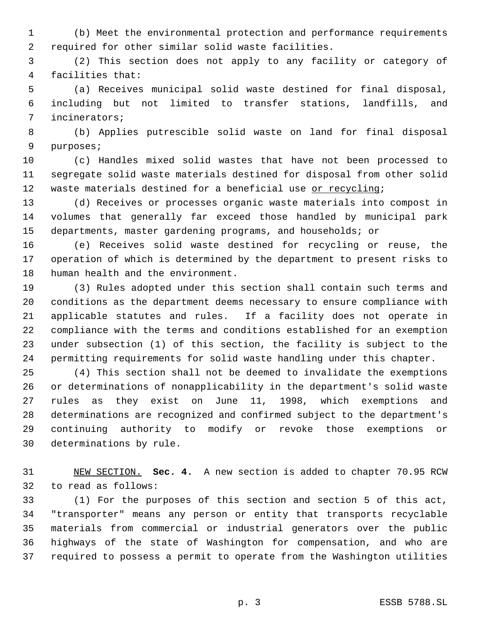(b) Meet the environmental protection and performance requirements required for other similar solid waste facilities.

 (2) This section does not apply to any facility or category of facilities that:

 (a) Receives municipal solid waste destined for final disposal, including but not limited to transfer stations, landfills, and incinerators;

 (b) Applies putrescible solid waste on land for final disposal purposes;

 (c) Handles mixed solid wastes that have not been processed to segregate solid waste materials destined for disposal from other solid 12 waste materials destined for a beneficial use or recycling;

 (d) Receives or processes organic waste materials into compost in volumes that generally far exceed those handled by municipal park departments, master gardening programs, and households; or

 (e) Receives solid waste destined for recycling or reuse, the operation of which is determined by the department to present risks to human health and the environment.

 (3) Rules adopted under this section shall contain such terms and conditions as the department deems necessary to ensure compliance with applicable statutes and rules. If a facility does not operate in compliance with the terms and conditions established for an exemption under subsection (1) of this section, the facility is subject to the permitting requirements for solid waste handling under this chapter.

 (4) This section shall not be deemed to invalidate the exemptions or determinations of nonapplicability in the department's solid waste rules as they exist on June 11, 1998, which exemptions and determinations are recognized and confirmed subject to the department's continuing authority to modify or revoke those exemptions or determinations by rule.

 NEW SECTION. **Sec. 4.** A new section is added to chapter 70.95 RCW to read as follows:

 (1) For the purposes of this section and section 5 of this act, "transporter" means any person or entity that transports recyclable materials from commercial or industrial generators over the public highways of the state of Washington for compensation, and who are required to possess a permit to operate from the Washington utilities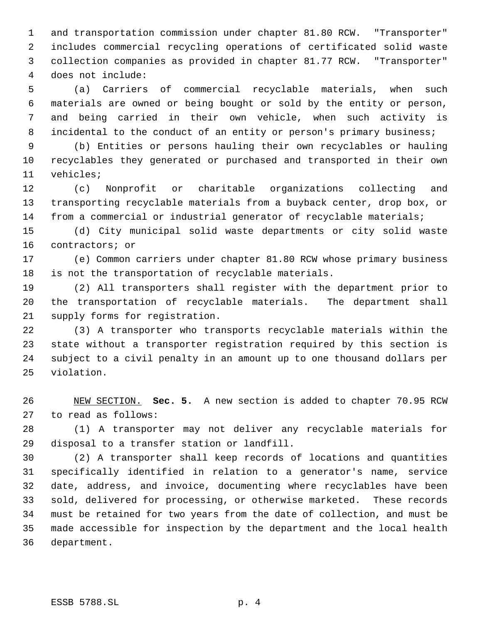and transportation commission under chapter 81.80 RCW. "Transporter" includes commercial recycling operations of certificated solid waste collection companies as provided in chapter 81.77 RCW. "Transporter" does not include:

 (a) Carriers of commercial recyclable materials, when such materials are owned or being bought or sold by the entity or person, and being carried in their own vehicle, when such activity is 8 incidental to the conduct of an entity or person's primary business;

 (b) Entities or persons hauling their own recyclables or hauling recyclables they generated or purchased and transported in their own vehicles;

 (c) Nonprofit or charitable organizations collecting and transporting recyclable materials from a buyback center, drop box, or from a commercial or industrial generator of recyclable materials;

 (d) City municipal solid waste departments or city solid waste contractors; or

 (e) Common carriers under chapter 81.80 RCW whose primary business is not the transportation of recyclable materials.

 (2) All transporters shall register with the department prior to the transportation of recyclable materials. The department shall supply forms for registration.

 (3) A transporter who transports recyclable materials within the state without a transporter registration required by this section is subject to a civil penalty in an amount up to one thousand dollars per violation.

 NEW SECTION. **Sec. 5.** A new section is added to chapter 70.95 RCW to read as follows:

 (1) A transporter may not deliver any recyclable materials for disposal to a transfer station or landfill.

 (2) A transporter shall keep records of locations and quantities specifically identified in relation to a generator's name, service date, address, and invoice, documenting where recyclables have been sold, delivered for processing, or otherwise marketed. These records must be retained for two years from the date of collection, and must be made accessible for inspection by the department and the local health department.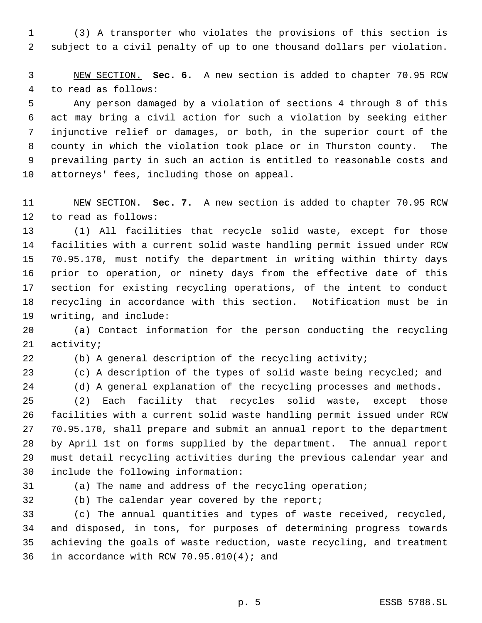(3) A transporter who violates the provisions of this section is subject to a civil penalty of up to one thousand dollars per violation.

 NEW SECTION. **Sec. 6.** A new section is added to chapter 70.95 RCW to read as follows:

 Any person damaged by a violation of sections 4 through 8 of this act may bring a civil action for such a violation by seeking either injunctive relief or damages, or both, in the superior court of the county in which the violation took place or in Thurston county. The prevailing party in such an action is entitled to reasonable costs and attorneys' fees, including those on appeal.

 NEW SECTION. **Sec. 7.** A new section is added to chapter 70.95 RCW to read as follows:

 (1) All facilities that recycle solid waste, except for those facilities with a current solid waste handling permit issued under RCW 70.95.170, must notify the department in writing within thirty days prior to operation, or ninety days from the effective date of this section for existing recycling operations, of the intent to conduct recycling in accordance with this section. Notification must be in writing, and include:

 (a) Contact information for the person conducting the recycling activity;

(b) A general description of the recycling activity;

(c) A description of the types of solid waste being recycled; and

(d) A general explanation of the recycling processes and methods.

 (2) Each facility that recycles solid waste, except those facilities with a current solid waste handling permit issued under RCW 70.95.170, shall prepare and submit an annual report to the department by April 1st on forms supplied by the department. The annual report must detail recycling activities during the previous calendar year and include the following information:

(a) The name and address of the recycling operation;

(b) The calendar year covered by the report;

 (c) The annual quantities and types of waste received, recycled, and disposed, in tons, for purposes of determining progress towards achieving the goals of waste reduction, waste recycling, and treatment in accordance with RCW 70.95.010(4); and